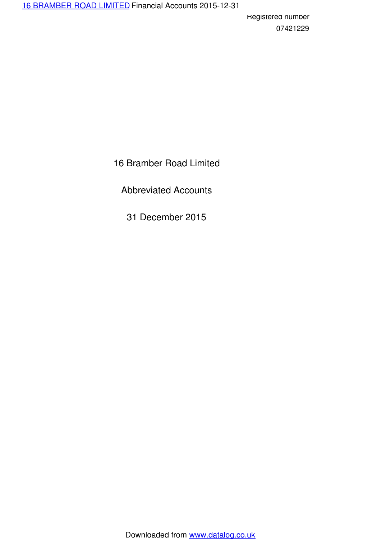16 Bramber Road Limited

Abbreviated Accounts

31 December 2015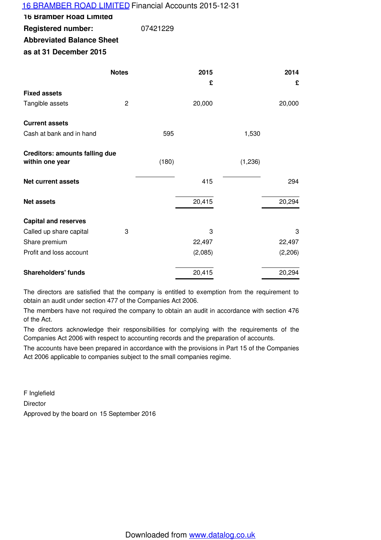## 16 BRAMBER ROAD LIMITED Financial Accounts 2015-12-31

**16 Bramber Road Limited**

**Registered number:** 07421229

**Abbreviated Balance Sheet**

**as at 31 December 2015**

|                                                          | <b>Notes</b>   |       | 2015    |         | 2014    |
|----------------------------------------------------------|----------------|-------|---------|---------|---------|
|                                                          |                |       | £       |         | £       |
| <b>Fixed assets</b>                                      |                |       |         |         |         |
| Tangible assets                                          | $\overline{2}$ |       | 20,000  |         | 20,000  |
| <b>Current assets</b>                                    |                |       |         |         |         |
| Cash at bank and in hand                                 |                | 595   |         | 1,530   |         |
| <b>Creditors: amounts falling due</b><br>within one year |                | (180) |         | (1,236) |         |
|                                                          |                |       |         |         |         |
| <b>Net current assets</b>                                |                |       | 415     |         | 294     |
| <b>Net assets</b>                                        |                |       | 20,415  |         | 20,294  |
| <b>Capital and reserves</b>                              |                |       |         |         |         |
| Called up share capital                                  | 3              |       | 3       |         | 3       |
| Share premium                                            |                |       | 22,497  |         | 22,497  |
| Profit and loss account                                  |                |       | (2,085) |         | (2,206) |
| <b>Shareholders' funds</b>                               |                |       | 20,415  |         | 20,294  |

The directors are satisfied that the company is entitled to exemption from the requirement to obtain an audit under section 477 of the Companies Act 2006.

The members have not required the company to obtain an audit in accordance with section 476 of the Act.

The directors acknowledge their responsibilities for complying with the requirements of the Companies Act 2006 with respect to accounting records and the preparation of accounts.

The accounts have been prepared in accordance with the provisions in Part 15 of the Companies Act 2006 applicable to companies subject to the small companies regime.

F Inglefield Director Approved by the board on 15 September 2016

Downloaded from www.datalog.co.uk